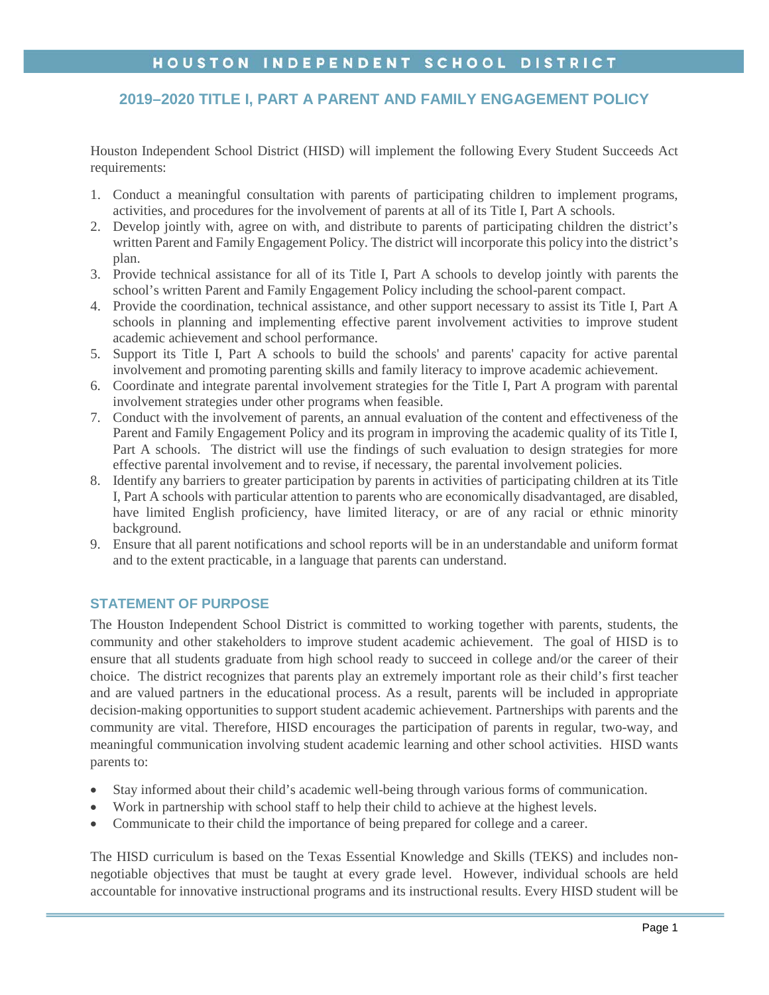# HOUSTON INDEPENDENT SCHOOL DISTRICT

# **2019–2020 TITLE I, PART A PARENT AND FAMILY ENGAGEMENT POLICY**

Houston Independent School District (HISD) will implement the following Every Student Succeeds Act requirements:

- 1. Conduct a meaningful consultation with parents of participating children to implement programs, activities, and procedures for the involvement of parents at all of its Title I, Part A schools.
- 2. Develop jointly with, agree on with, and distribute to parents of participating children the district's written Parent and Family Engagement Policy. The district will incorporate this policy into the district's plan.
- 3. Provide technical assistance for all of its Title I, Part A schools to develop jointly with parents the school's written Parent and Family Engagement Policy including the school-parent compact.
- 4. Provide the coordination, technical assistance, and other support necessary to assist its Title I, Part A schools in planning and implementing effective parent involvement activities to improve student academic achievement and school performance.
- 5. Support its Title I, Part A schools to build the schools' and parents' capacity for active parental involvement and promoting parenting skills and family literacy to improve academic achievement.
- 6. Coordinate and integrate parental involvement strategies for the Title I, Part A program with parental involvement strategies under other programs when feasible.
- 7. Conduct with the involvement of parents, an annual evaluation of the content and effectiveness of the Parent and Family Engagement Policy and its program in improving the academic quality of its Title I, Part A schools. The district will use the findings of such evaluation to design strategies for more effective parental involvement and to revise, if necessary, the parental involvement policies.
- 8. Identify any barriers to greater participation by parents in activities of participating children at its Title I, Part A schools with particular attention to parents who are economically disadvantaged, are disabled, have limited English proficiency, have limited literacy, or are of any racial or ethnic minority background.
- 9. Ensure that all parent notifications and school reports will be in an understandable and uniform format and to the extent practicable, in a language that parents can understand.

## **STATEMENT OF PURPOSE**

The Houston Independent School District is committed to working together with parents, students, the community and other stakeholders to improve student academic achievement. The goal of HISD is to ensure that all students graduate from high school ready to succeed in college and/or the career of their choice. The district recognizes that parents play an extremely important role as their child's first teacher and are valued partners in the educational process. As a result, parents will be included in appropriate decision-making opportunities to support student academic achievement. Partnerships with parents and the community are vital. Therefore, HISD encourages the participation of parents in regular, two-way, and meaningful communication involving student academic learning and other school activities. HISD wants parents to:

- Stay informed about their child's academic well-being through various forms of communication.
- Work in partnership with school staff to help their child to achieve at the highest levels.
- Communicate to their child the importance of being prepared for college and a career.

The HISD curriculum is based on the Texas Essential Knowledge and Skills (TEKS) and includes nonnegotiable objectives that must be taught at every grade level. However, individual schools are held accountable for innovative instructional programs and its instructional results. Every HISD student will be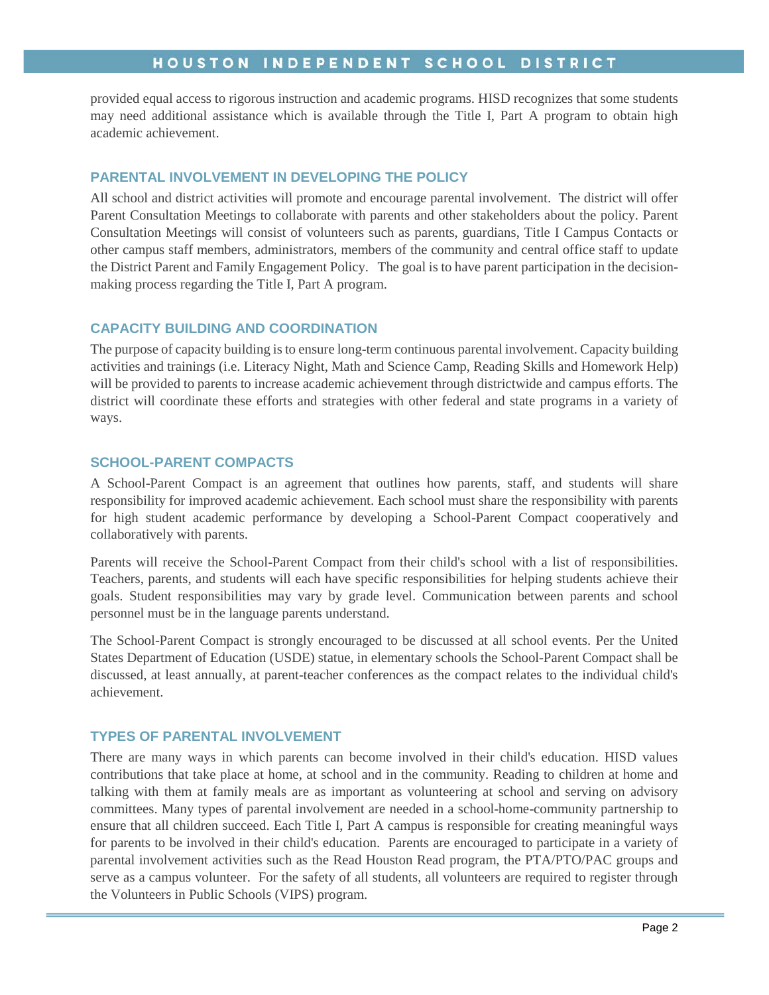# HOUSTON INDEPENDENT SCHOOL DISTRICT

provided equal access to rigorous instruction and academic programs. HISD recognizes that some students may need additional assistance which is available through the Title I, Part A program to obtain high academic achievement.

## **PARENTAL INVOLVEMENT IN DEVELOPING THE POLICY**

All school and district activities will promote and encourage parental involvement. The district will offer Parent Consultation Meetings to collaborate with parents and other stakeholders about the policy. Parent Consultation Meetings will consist of volunteers such as parents, guardians, Title I Campus Contacts or other campus staff members, administrators, members of the community and central office staff to update the District Parent and Family Engagement Policy. The goal is to have parent participation in the decisionmaking process regarding the Title I, Part A program.

## **CAPACITY BUILDING AND COORDINATION**

The purpose of capacity building is to ensure long-term continuous parental involvement. Capacity building activities and trainings (i.e. Literacy Night, Math and Science Camp, Reading Skills and Homework Help) will be provided to parents to increase academic achievement through districtwide and campus efforts. The district will coordinate these efforts and strategies with other federal and state programs in a variety of ways.

## **SCHOOL-PARENT COMPACTS**

A School-Parent Compact is an agreement that outlines how parents, staff, and students will share responsibility for improved academic achievement. Each school must share the responsibility with parents for high student academic performance by developing a School-Parent Compact cooperatively and collaboratively with parents.

Parents will receive the School-Parent Compact from their child's school with a list of responsibilities. Teachers, parents, and students will each have specific responsibilities for helping students achieve their goals. Student responsibilities may vary by grade level. Communication between parents and school personnel must be in the language parents understand.

The School-Parent Compact is strongly encouraged to be discussed at all school events. Per the United States Department of Education (USDE) statue, in elementary schools the School-Parent Compact shall be discussed, at least annually, at parent-teacher conferences as the compact relates to the individual child's achievement.

#### **TYPES OF PARENTAL INVOLVEMENT**

There are many ways in which parents can become involved in their child's education. HISD values contributions that take place at home, at school and in the community. Reading to children at home and talking with them at family meals are as important as volunteering at school and serving on advisory committees. Many types of parental involvement are needed in a school-home-community partnership to ensure that all children succeed. Each Title I, Part A campus is responsible for creating meaningful ways for parents to be involved in their child's education. Parents are encouraged to participate in a variety of parental involvement activities such as the Read Houston Read program, the PTA/PTO/PAC groups and serve as a campus volunteer. For the safety of all students, all volunteers are required to register through the Volunteers in Public Schools (VIPS) program.